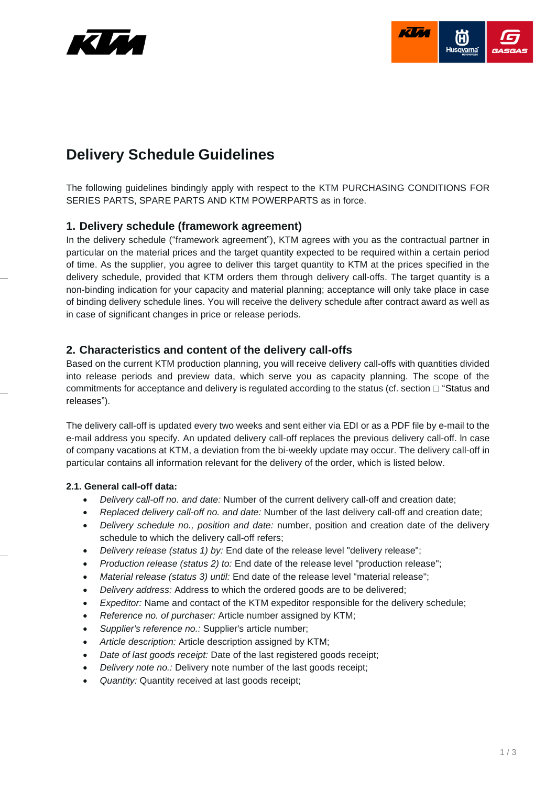



# **Delivery Schedule Guidelines**

The following guidelines bindingly apply with respect to the KTM PURCHASING CONDITIONS FOR SERIES PARTS, SPARE PARTS AND KTM POWERPARTS as in force.

# **1. Delivery schedule (framework agreement)**

In the delivery schedule ("framework agreement"), KTM agrees with you as the contractual partner in particular on the material prices and the target quantity expected to be required within a certain period of time. As the supplier, you agree to deliver this target quantity to KTM at the prices specified in the delivery schedule, provided that KTM orders them through delivery call-offs. The target quantity is a non-binding indication for your capacity and material planning; acceptance will only take place in case of binding delivery schedule lines. You will receive the delivery schedule after contract award as well as in case of significant changes in price or release periods.

# **2. Characteristics and content of the delivery call-offs**

Based on the current KTM production planning, you will receive delivery call-offs with quantities divided into release periods and preview data, which serve you as capacity planning. The scope of the commitments for acceptance and delivery is regulated according to the status (cf. section  $\Box$  "Status and [releases"](#page-1-0)).

The delivery call-off is updated every two weeks and sent either via EDI or as a PDF file by e-mail to the e-mail address you specify. An updated delivery call-off replaces the previous delivery call-off. ln case of company vacations at KTM, a deviation from the bi-weekly update may occur. The delivery call-off in particular contains all information relevant for the delivery of the order, which is listed below.

#### **2.1. General call-off data:**

- *Delivery call-off no. and date:* Number of the current delivery call-off and creation date;
- *Replaced delivery call-off no. and date:* Number of the last delivery call-off and creation date;
- *Delivery schedule no., position and date:* number, position and creation date of the delivery schedule to which the delivery call-off refers;
- *Delivery release (status 1) by:* End date of the release level "delivery release";
- *Production release (status 2) to:* End date of the release level "production release";
- *Material release (status 3) until:* End date of the release level "material release";
- *Delivery address:* Address to which the ordered goods are to be delivered;
- *Expeditor:* Name and contact of the KTM expeditor responsible for the delivery schedule;
- *Reference no. of purchaser:* Article number assigned by KTM;
- *Supplier's reference no.:* Supplier's article number;
- *Article description:* Article description assigned by KTM;
- *Date of last goods receipt:* Date of the last registered goods receipt;
- *Delivery note no.:* Delivery note number of the last goods receipt;
- *Quantity:* Quantity received at last goods receipt;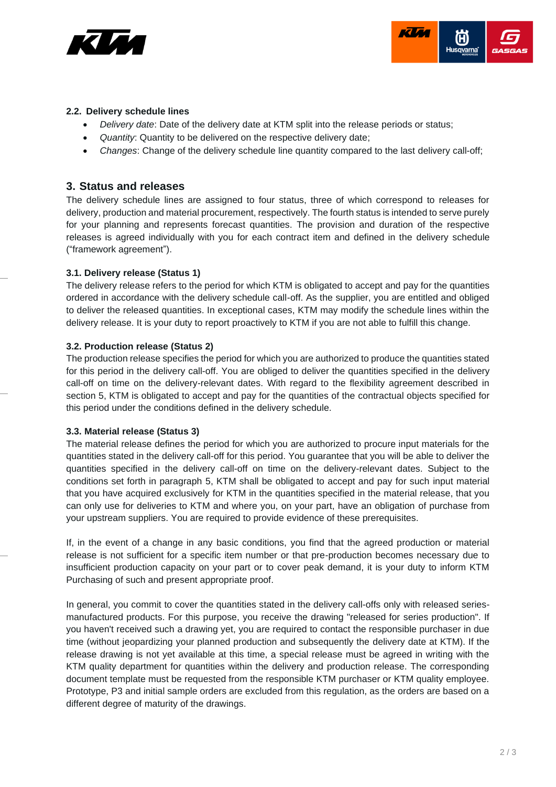



#### **2.2. Delivery schedule lines**

- *Delivery date*: Date of the delivery date at KTM split into the release periods or status;
- *Quantity*: Quantity to be delivered on the respective delivery date;
- <span id="page-1-0"></span>• *Changes*: Change of the delivery schedule line quantity compared to the last delivery call-off;

# **3. Status and releases**

The delivery schedule lines are assigned to four status, three of which correspond to releases for delivery, production and material procurement, respectively. The fourth status is intended to serve purely for your planning and represents forecast quantities. The provision and duration of the respective releases is agreed individually with you for each contract item and defined in the delivery schedule ("framework agreement").

#### **3.1. Delivery release (Status 1)**

The delivery release refers to the period for which KTM is obligated to accept and pay for the quantities ordered in accordance with the delivery schedule call-off. As the supplier, you are entitled and obliged to deliver the released quantities. In exceptional cases, KTM may modify the schedule lines within the delivery release. It is your duty to report proactively to KTM if you are not able to fulfill this change.

#### **3.2. Production release (Status 2)**

The production release specifies the period for which you are authorized to produce the quantities stated for this period in the delivery call-off. You are obliged to deliver the quantities specified in the delivery call-off on time on the delivery-relevant dates. With regard to the flexibility agreement described in section [5,](#page-2-0) KTM is obligated to accept and pay for the quantities of the contractual objects specified for this period under the conditions defined in the delivery schedule.

#### **3.3. Material release (Status 3)**

The material release defines the period for which you are authorized to procure input materials for the quantities stated in the delivery call-off for this period. You guarantee that you will be able to deliver the quantities specified in the delivery call-off on time on the delivery-relevant dates. Subject to the conditions set forth in paragraph [5,](#page-2-0) KTM shall be obligated to accept and pay for such input material that you have acquired exclusively for KTM in the quantities specified in the material release, that you can only use for deliveries to KTM and where you, on your part, have an obligation of purchase from your upstream suppliers. You are required to provide evidence of these prerequisites.

If, in the event of a change in any basic conditions, you find that the agreed production or material release is not sufficient for a specific item number or that pre-production becomes necessary due to insufficient production capacity on your part or to cover peak demand, it is your duty to inform KTM Purchasing of such and present appropriate proof.

In general, you commit to cover the quantities stated in the delivery call-offs only with released seriesmanufactured products. For this purpose, you receive the drawing "released for series production". If you haven't received such a drawing yet, you are required to contact the responsible purchaser in due time (without jeopardizing your planned production and subsequently the delivery date at KTM). If the release drawing is not yet available at this time, a special release must be agreed in writing with the KTM quality department for quantities within the delivery and production release. The corresponding document template must be requested from the responsible KTM purchaser or KTM quality employee. Prototype, P3 and initial sample orders are excluded from this regulation, as the orders are based on a different degree of maturity of the drawings.